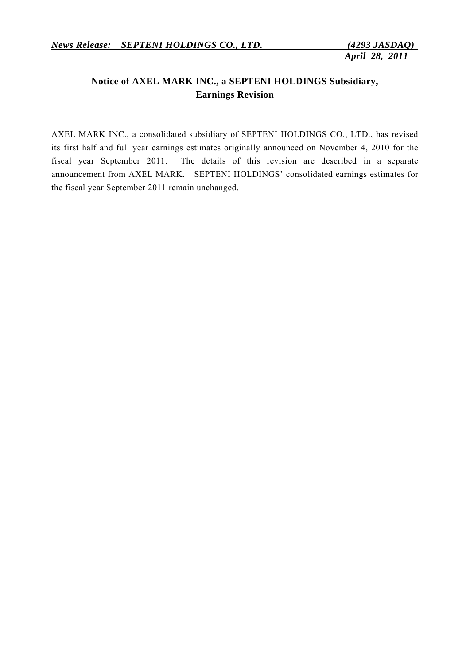# **Notice of AXEL MARK INC., a SEPTENI HOLDINGS Subsidiary, Earnings Revision**

AXEL MARK INC., a consolidated subsidiary of SEPTENI HOLDINGS CO., LTD., has revised its first half and full year earnings estimates originally announced on November 4, 2010 for the fiscal year September 2011. The details of this revision are described in a separate announcement from AXEL MARK. SEPTENI HOLDINGS' consolidated earnings estimates for the fiscal year September 2011 remain unchanged.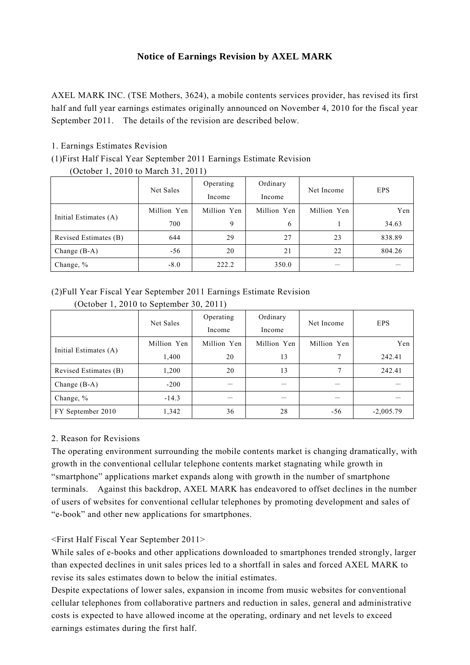# **Notice of Earnings Revision by AXEL MARK**

AXEL MARK INC. (TSE Mothers, 3624), a mobile contents services provider, has revised its first half and full year earnings estimates originally announced on November 4, 2010 for the fiscal year September 2011. The details of the revision are described below.

### 1. Earnings Estimates Revision

#### (1)First Half Fiscal Year September 2011 Earnings Estimate Revision

(October 1, 2010 to March 31, 2011)

|                       | Net Sales   | Operating   | Ordinary    | Net Income  | <b>EPS</b> |
|-----------------------|-------------|-------------|-------------|-------------|------------|
|                       |             | Income      | Income      |             |            |
| Initial Estimates (A) | Million Yen | Million Yen | Million Yen | Million Yen | Yen        |
|                       | 700         | 9           | 6           |             | 34.63      |
| Revised Estimates (B) | 644         | 29          | 27          | 23          | 838.89     |
| Change $(B-A)$        | $-56$       | 20          | 21          | 22          | 804.26     |
| Change, %             | $-8.0$      | 222.2       | 350.0       |             |            |

# (2)Full Year Fiscal Year September 2011 Earnings Estimate Revision

|                       | Net Sales   | Operating   | Ordinary    | Net Income  | <b>EPS</b>  |
|-----------------------|-------------|-------------|-------------|-------------|-------------|
|                       |             | Income      | Income      |             |             |
| Initial Estimates (A) | Million Yen | Million Yen | Million Yen | Million Yen | Yen         |
|                       | 1,400       | 20          | 13          |             | 242.41      |
| Revised Estimates (B) | 1,200       | 20          | 13          | ⇁           | 242.41      |
| Change $(B-A)$        | $-200$      |             |             |             |             |
| Change, %             | $-14.3$     |             |             |             |             |
| FY September 2010     | 1,342       | 36          | 28          | -56         | $-2,005.79$ |

(October 1, 2010 to September 30, 2011)

# 2. Reason for Revisions

The operating environment surrounding the mobile contents market is changing dramatically, with growth in the conventional cellular telephone contents market stagnating while growth in "smartphone" applications market expands along with growth in the number of smartphone terminals. Against this backdrop, AXEL MARK has endeavored to offset declines in the number of users of websites for conventional cellular telephones by promoting development and sales of "e-book" and other new applications for smartphones.

# <First Half Fiscal Year September 2011>

While sales of e-books and other applications downloaded to smartphones trended strongly, larger than expected declines in unit sales prices led to a shortfall in sales and forced AXEL MARK to revise its sales estimates down to below the initial estimates.

Despite expectations of lower sales, expansion in income from music websites for conventional cellular telephones from collaborative partners and reduction in sales, general and administrative costs is expected to have allowed income at the operating, ordinary and net levels to exceed earnings estimates during the first half.